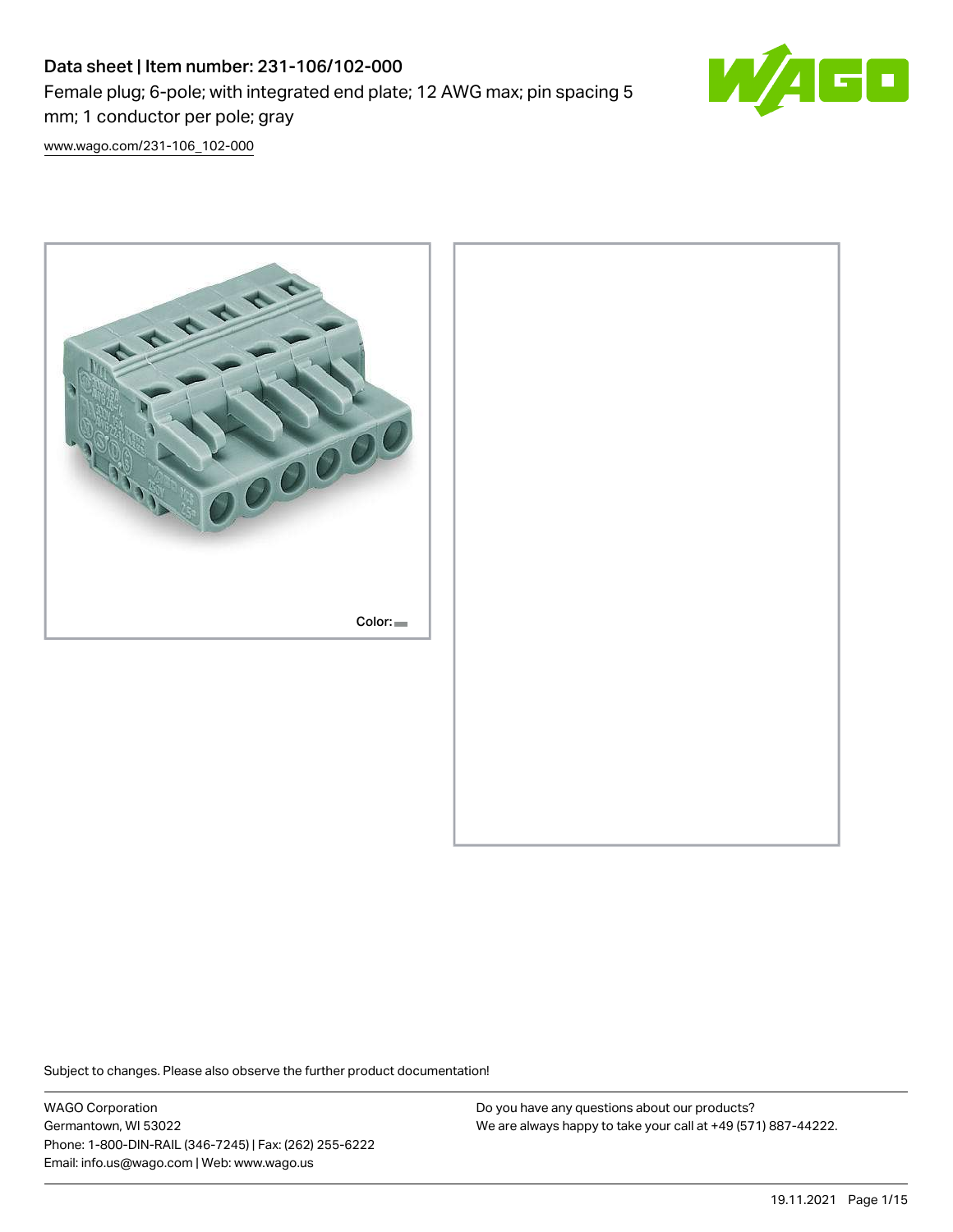# Data sheet | Item number: 231-106/102-000 Female plug; 6-pole; with integrated end plate; 12 AWG max; pin spacing 5 mm; 1 conductor per pole; gray



[www.wago.com/231-106\\_102-000](http://www.wago.com/231-106_102-000)



Subject to changes. Please also observe the further product documentation!

WAGO Corporation Germantown, WI 53022 Phone: 1-800-DIN-RAIL (346-7245) | Fax: (262) 255-6222 Email: info.us@wago.com | Web: www.wago.us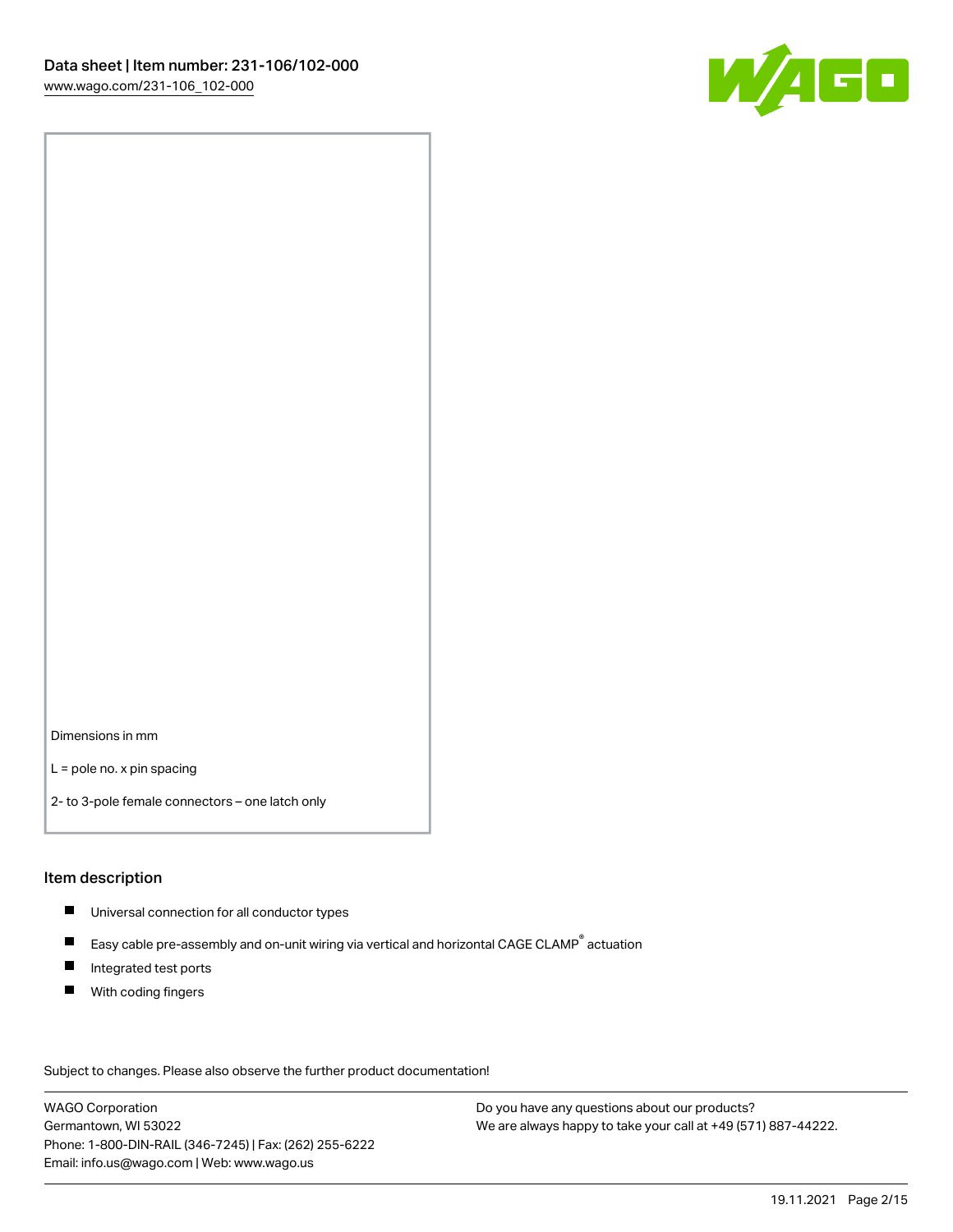

Dimensions in mm

L = pole no. x pin spacing

2- to 3-pole female connectors – one latch only

### Item description

- **Universal connection for all conductor types**
- Easy cable pre-assembly and on-unit wiring via vertical and horizontal CAGE CLAMP<sup>®</sup> actuation  $\blacksquare$
- $\blacksquare$ Integrated test ports
- $\blacksquare$ With coding fingers

Subject to changes. Please also observe the further product documentation! Data

WAGO Corporation Germantown, WI 53022 Phone: 1-800-DIN-RAIL (346-7245) | Fax: (262) 255-6222 Email: info.us@wago.com | Web: www.wago.us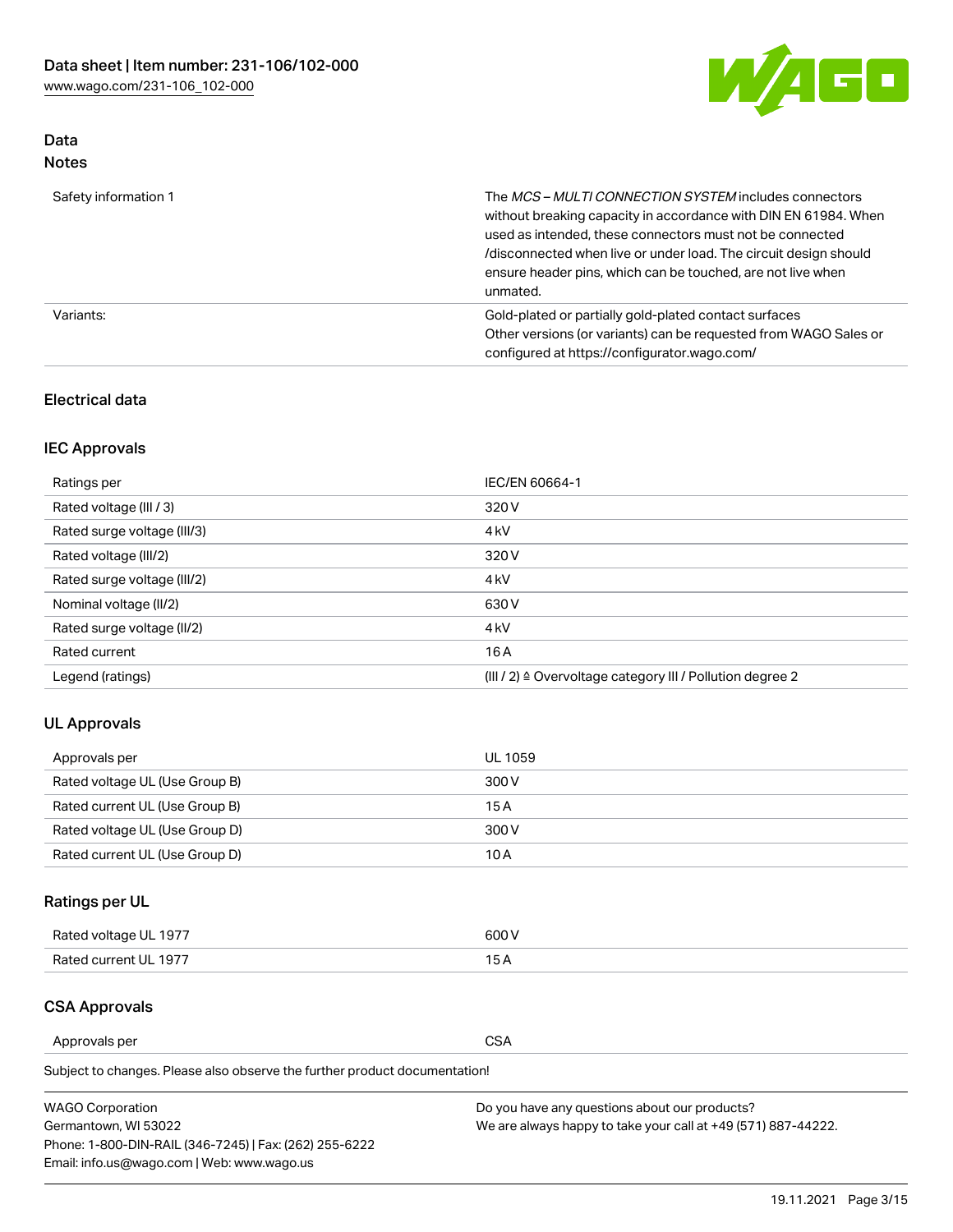

# Data Notes

| Safety information 1 | The MCS-MULTI CONNECTION SYSTEM includes connectors<br>without breaking capacity in accordance with DIN EN 61984. When<br>used as intended, these connectors must not be connected<br>/disconnected when live or under load. The circuit design should<br>ensure header pins, which can be touched, are not live when<br>unmated. |
|----------------------|-----------------------------------------------------------------------------------------------------------------------------------------------------------------------------------------------------------------------------------------------------------------------------------------------------------------------------------|
| Variants:            | Gold-plated or partially gold-plated contact surfaces<br>Other versions (or variants) can be requested from WAGO Sales or<br>configured at https://configurator.wago.com/                                                                                                                                                         |

# Electrical data

# IEC Approvals

| Ratings per                 | IEC/EN 60664-1                                                        |  |
|-----------------------------|-----------------------------------------------------------------------|--|
| Rated voltage (III / 3)     | 320 V                                                                 |  |
| Rated surge voltage (III/3) | 4 <sub>k</sub> V                                                      |  |
| Rated voltage (III/2)       | 320 V                                                                 |  |
| Rated surge voltage (III/2) | 4 <sub>k</sub> V                                                      |  |
| Nominal voltage (II/2)      | 630 V                                                                 |  |
| Rated surge voltage (II/2)  | 4 <sub>k</sub> V                                                      |  |
| Rated current               | 16A                                                                   |  |
| Legend (ratings)            | $(III / 2)$ $\triangle$ Overvoltage category III / Pollution degree 2 |  |

# UL Approvals

| Approvals per                  | UL 1059 |
|--------------------------------|---------|
| Rated voltage UL (Use Group B) | 300 V   |
| Rated current UL (Use Group B) | 15 A    |
| Rated voltage UL (Use Group D) | 300 V   |
| Rated current UL (Use Group D) | 10 A    |

# Ratings per UL

| Rated voltage UL 1977 | 600 V         |
|-----------------------|---------------|
| Rated current UL 1977 | $\sim$ $\sim$ |

# CSA Approvals

Approvals per CSA

Subject to changes. Please also observe the further product documentation!

| <b>WAGO Corporation</b>                                | Do you have any questions about our products?                 |
|--------------------------------------------------------|---------------------------------------------------------------|
| Germantown, WI 53022                                   | We are always happy to take your call at +49 (571) 887-44222. |
| Phone: 1-800-DIN-RAIL (346-7245)   Fax: (262) 255-6222 |                                                               |
| Email: info.us@wago.com   Web: www.wago.us             |                                                               |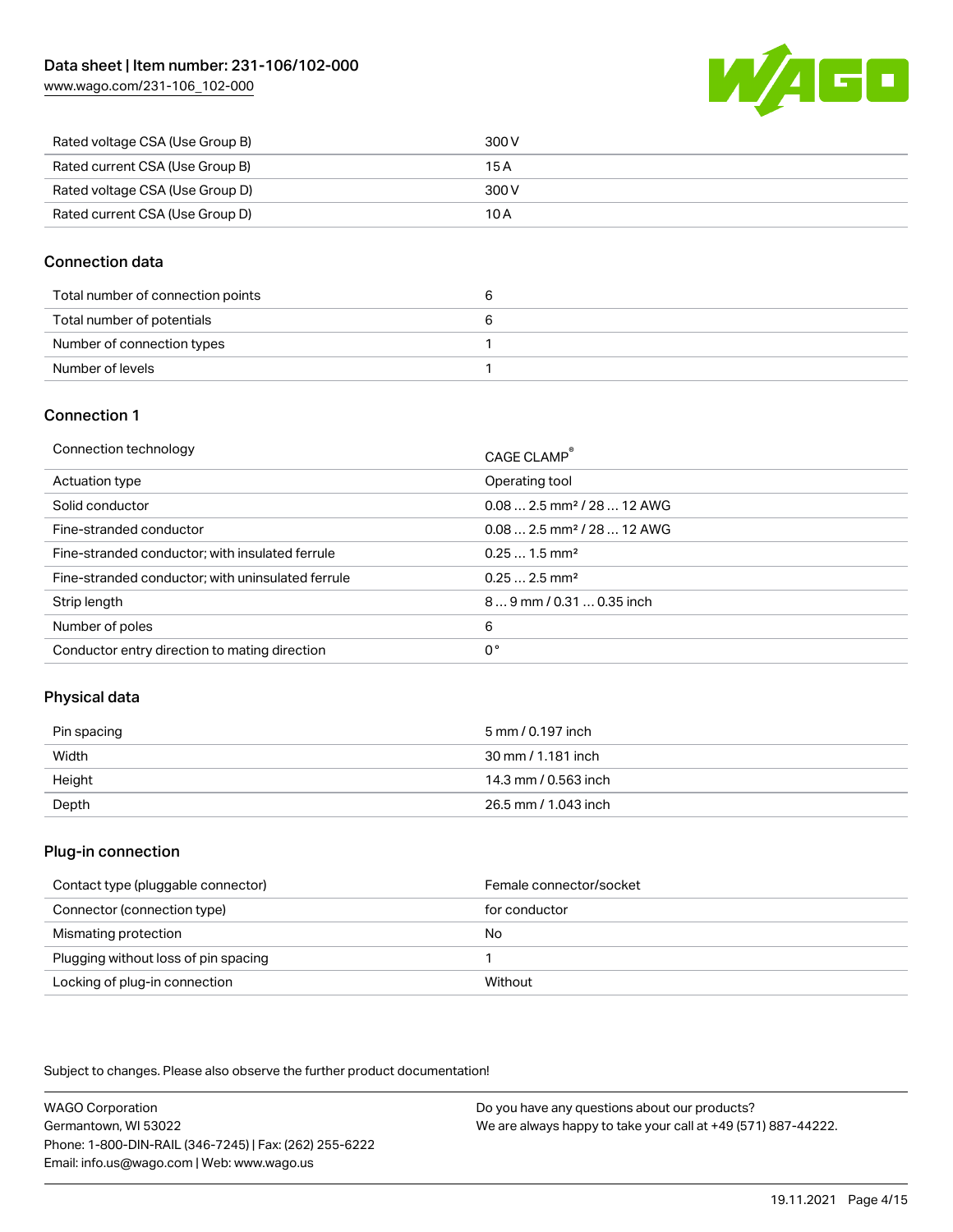[www.wago.com/231-106\\_102-000](http://www.wago.com/231-106_102-000)



| Rated voltage CSA (Use Group B) | 300 V |
|---------------------------------|-------|
| Rated current CSA (Use Group B) | 15 A  |
| Rated voltage CSA (Use Group D) | 300 V |
| Rated current CSA (Use Group D) | 10 A  |

## Connection data

| Total number of connection points | u |
|-----------------------------------|---|
| Total number of potentials        |   |
| Number of connection types        |   |
| Number of levels                  |   |

### Connection 1

| Connection technology                             | CAGE CLAMP <sup>®</sup>                 |
|---------------------------------------------------|-----------------------------------------|
| Actuation type                                    | Operating tool                          |
| Solid conductor                                   | $0.08$ 2.5 mm <sup>2</sup> / 28  12 AWG |
| Fine-stranded conductor                           | $0.08$ 2.5 mm <sup>2</sup> / 28  12 AWG |
| Fine-stranded conductor; with insulated ferrule   | $0.251.5$ mm <sup>2</sup>               |
| Fine-stranded conductor; with uninsulated ferrule | $0.252.5$ mm <sup>2</sup>               |
| Strip length                                      | 89 mm / 0.31  0.35 inch                 |
| Number of poles                                   | 6                                       |
| Conductor entry direction to mating direction     | 0°                                      |

# Physical data

| Pin spacing | 5 mm / 0.197 inch    |
|-------------|----------------------|
| Width       | 30 mm / 1.181 inch   |
| Height      | 14.3 mm / 0.563 inch |
| Depth       | 26.5 mm / 1.043 inch |

### Plug-in connection

| Contact type (pluggable connector)   | Female connector/socket |
|--------------------------------------|-------------------------|
| Connector (connection type)          | for conductor           |
| Mismating protection                 | No                      |
| Plugging without loss of pin spacing |                         |
| Locking of plug-in connection        | Without                 |

Subject to changes. Please also observe the further product documentation!

WAGO Corporation Germantown, WI 53022 Phone: 1-800-DIN-RAIL (346-7245) | Fax: (262) 255-6222 Email: info.us@wago.com | Web: www.wago.us Do you have any questions about our products? We are always happy to take your call at +49 (571) 887-44222.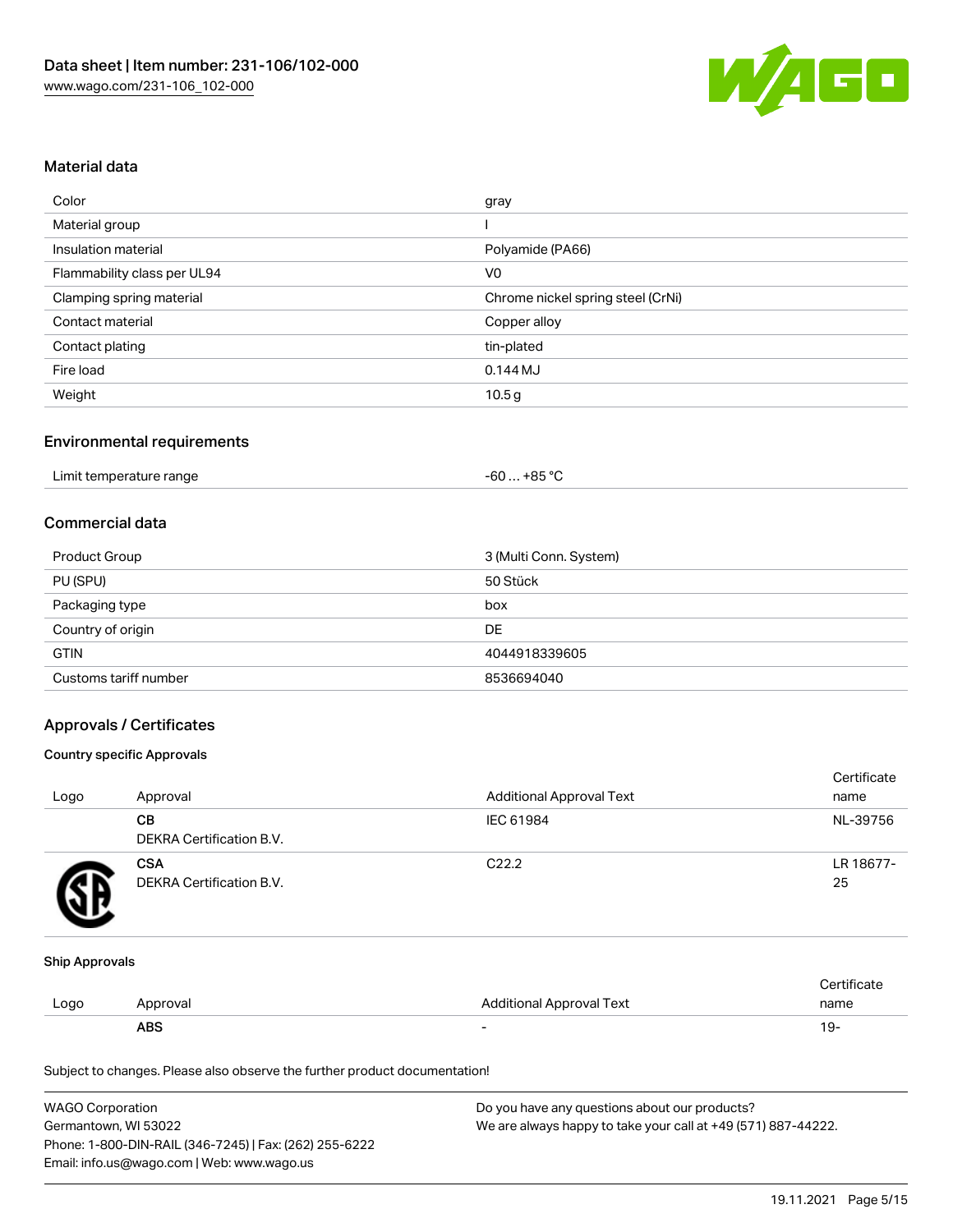

### Material data

| Color                       | gray                              |
|-----------------------------|-----------------------------------|
| Material group              |                                   |
| Insulation material         | Polyamide (PA66)                  |
| Flammability class per UL94 | V <sub>0</sub>                    |
| Clamping spring material    | Chrome nickel spring steel (CrNi) |
| Contact material            | Copper alloy                      |
| Contact plating             | tin-plated                        |
| Fire load                   | $0.144M$ J                        |
| Weight                      | 10.5 <sub>g</sub>                 |

## Environmental requirements

| Limit temperature range | . +85 °C<br>-60 |  |
|-------------------------|-----------------|--|
|-------------------------|-----------------|--|

#### Commercial data

| Product Group         | 3 (Multi Conn. System) |
|-----------------------|------------------------|
| PU (SPU)              | 50 Stück               |
| Packaging type        | box                    |
| Country of origin     | DE                     |
| <b>GTIN</b>           | 4044918339605          |
| Customs tariff number | 8536694040             |

## Approvals / Certificates

#### Country specific Approvals

| Logo | Approval                               | <b>Additional Approval Text</b> | Certificate<br>name |
|------|----------------------------------------|---------------------------------|---------------------|
|      | CВ<br>DEKRA Certification B.V.         | IEC 61984                       | NL-39756            |
|      | <b>CSA</b><br>DEKRA Certification B.V. | C <sub>22.2</sub>               | LR 18677-<br>25     |

#### Ship Approvals

|      | ABS      |                          | - ك ا       |
|------|----------|--------------------------|-------------|
| Logo | Approval | Additional Approval Text | name        |
|      |          |                          | ∵ertificate |

Subject to changes. Please also observe the further product documentation!

| <b>WAGO Corporation</b>                                | Do you have any questions about our products?                 |
|--------------------------------------------------------|---------------------------------------------------------------|
| Germantown. WI 53022                                   | We are always happy to take your call at +49 (571) 887-44222. |
| Phone: 1-800-DIN-RAIL (346-7245)   Fax: (262) 255-6222 |                                                               |
| Email: info.us@wago.com   Web: www.wago.us             |                                                               |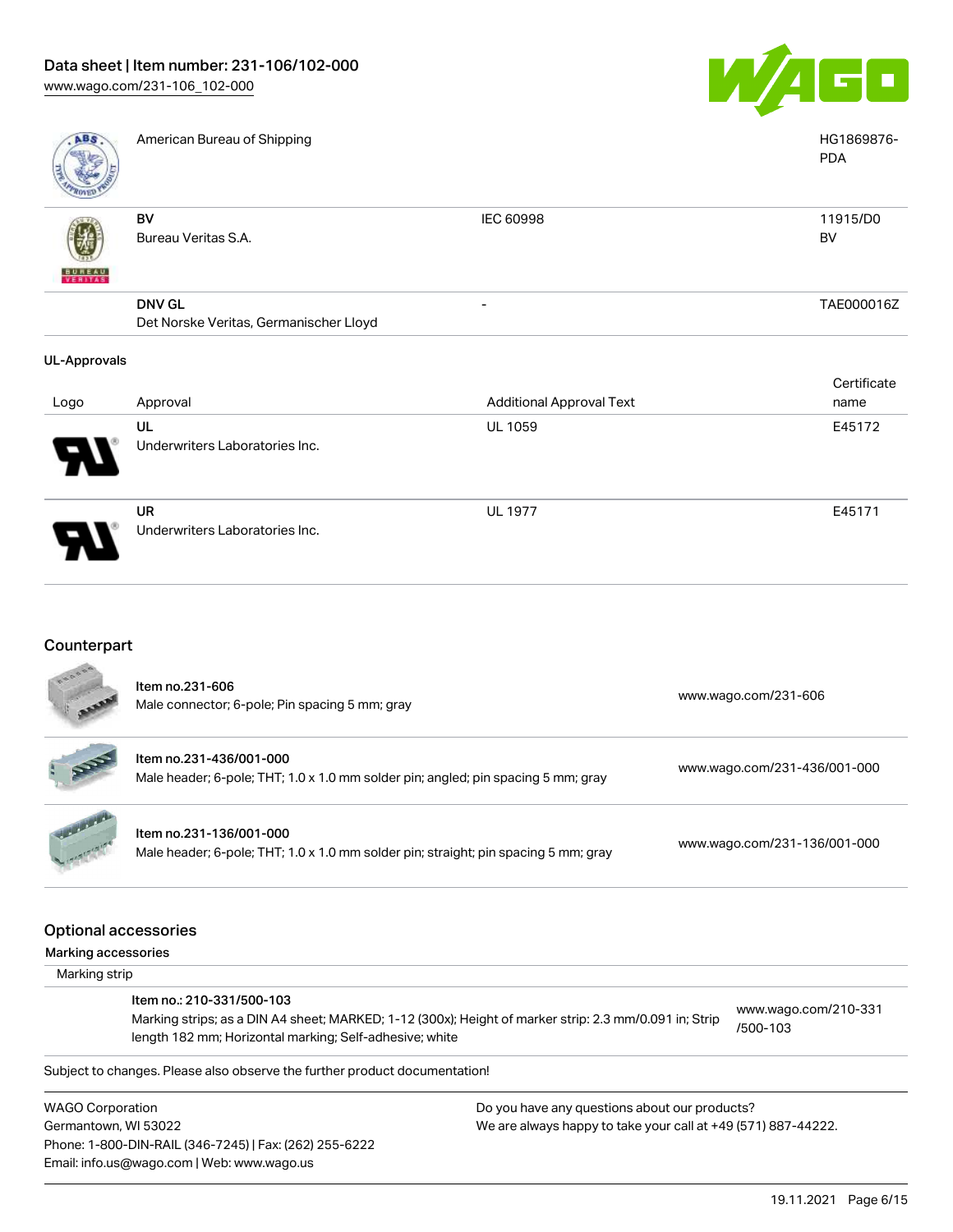

UL 1977 E45171

| ABS                 | American Bureau of Shipping                             |                                 | HG1869876-<br><b>PDA</b> |
|---------------------|---------------------------------------------------------|---------------------------------|--------------------------|
| <b>BUNEAU</b>       | BV<br>Bureau Veritas S.A.                               | IEC 60998                       | 11915/D0<br>BV           |
|                     | <b>DNV GL</b><br>Det Norske Veritas, Germanischer Lloyd | -                               | TAE000016Z               |
| <b>UL-Approvals</b> |                                                         |                                 | Certificate              |
| Logo                | Approval                                                | <b>Additional Approval Text</b> | name                     |
|                     | UL<br>Underwriters Laboratories Inc.                    | <b>UL 1059</b>                  | E45172                   |

UR Underwriters Laboratories Inc.

Email: info.us@wago.com | Web: www.wago.us

# Counterpart

|                         | Item no.231-606<br>Male connector; 6-pole; Pin spacing 5 mm; gray                                                                                                                              |                                                               | www.wago.com/231-606             |
|-------------------------|------------------------------------------------------------------------------------------------------------------------------------------------------------------------------------------------|---------------------------------------------------------------|----------------------------------|
|                         | Item no.231-436/001-000<br>Male header; 6-pole; THT; 1.0 x 1.0 mm solder pin; angled; pin spacing 5 mm; gray                                                                                   |                                                               | www.wago.com/231-436/001-000     |
|                         | Item no.231-136/001-000<br>Male header; 6-pole; THT; 1.0 x 1.0 mm solder pin; straight; pin spacing 5 mm; gray                                                                                 |                                                               | www.wago.com/231-136/001-000     |
| Marking accessories     | <b>Optional accessories</b>                                                                                                                                                                    |                                                               |                                  |
| Marking strip           |                                                                                                                                                                                                |                                                               |                                  |
|                         | Item no.: 210-331/500-103<br>Marking strips; as a DIN A4 sheet; MARKED; 1-12 (300x); Height of marker strip: 2.3 mm/0.091 in; Strip<br>length 182 mm; Horizontal marking; Self-adhesive; white |                                                               | www.wago.com/210-331<br>/500-103 |
|                         | Subject to changes. Please also observe the further product documentation!                                                                                                                     |                                                               |                                  |
| <b>WAGO Corporation</b> |                                                                                                                                                                                                | Do you have any questions about our products?                 |                                  |
| Germantown, WI 53022    |                                                                                                                                                                                                | We are always happy to take your call at +49 (571) 887-44222. |                                  |
|                         | Phone: 1-800-DIN-RAIL (346-7245)   Fax: (262) 255-6222                                                                                                                                         |                                                               |                                  |

19.11.2021 Page 6/15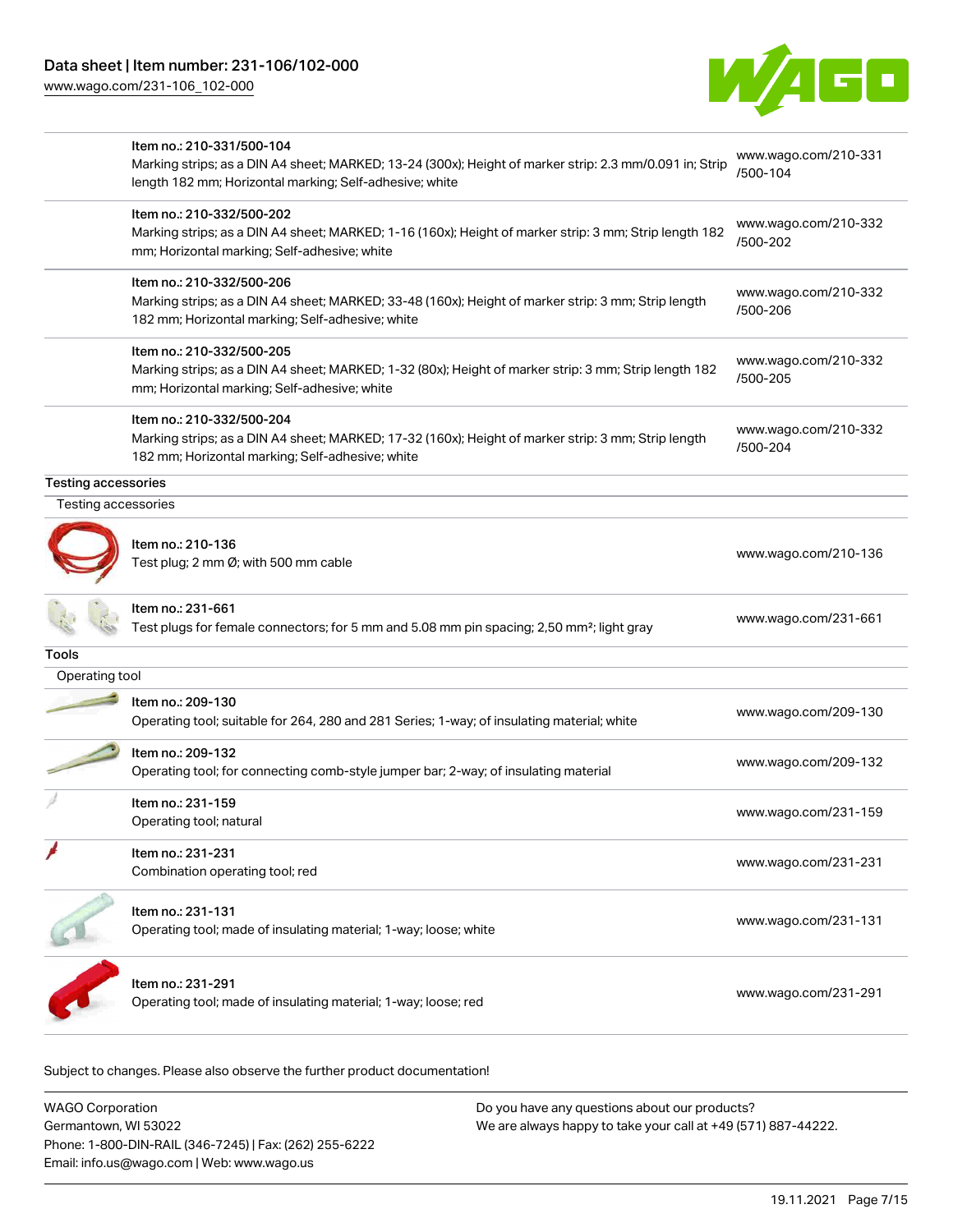[www.wago.com/231-106\\_102-000](http://www.wago.com/231-106_102-000)



|                                                   | Item no.: 210-331/500-104<br>Marking strips; as a DIN A4 sheet; MARKED; 13-24 (300x); Height of marker strip: 2.3 mm/0.091 in; Strip<br>length 182 mm; Horizontal marking; Self-adhesive; white | www.wago.com/210-331<br>/500-104 |
|---------------------------------------------------|-------------------------------------------------------------------------------------------------------------------------------------------------------------------------------------------------|----------------------------------|
|                                                   | Item no.: 210-332/500-202<br>Marking strips; as a DIN A4 sheet; MARKED; 1-16 (160x); Height of marker strip: 3 mm; Strip length 182<br>mm; Horizontal marking; Self-adhesive; white             | www.wago.com/210-332<br>/500-202 |
|                                                   | Item no.: 210-332/500-206<br>Marking strips; as a DIN A4 sheet; MARKED; 33-48 (160x); Height of marker strip: 3 mm; Strip length<br>182 mm; Horizontal marking; Self-adhesive; white            | www.wago.com/210-332<br>/500-206 |
|                                                   | Item no.: 210-332/500-205<br>Marking strips; as a DIN A4 sheet; MARKED; 1-32 (80x); Height of marker strip: 3 mm; Strip length 182<br>mm; Horizontal marking; Self-adhesive; white              | www.wago.com/210-332<br>/500-205 |
|                                                   | Item no.: 210-332/500-204<br>Marking strips; as a DIN A4 sheet; MARKED; 17-32 (160x); Height of marker strip: 3 mm; Strip length<br>182 mm; Horizontal marking; Self-adhesive; white            | www.wago.com/210-332<br>/500-204 |
| <b>Testing accessories</b><br>Testing accessories |                                                                                                                                                                                                 |                                  |
|                                                   | Item no.: 210-136<br>Test plug; 2 mm Ø; with 500 mm cable                                                                                                                                       | www.wago.com/210-136             |
|                                                   | Item no.: 231-661<br>Test plugs for female connectors; for 5 mm and 5.08 mm pin spacing; 2,50 mm <sup>2</sup> ; light gray                                                                      | www.wago.com/231-661             |
| Tools                                             |                                                                                                                                                                                                 |                                  |
| Operating tool                                    |                                                                                                                                                                                                 |                                  |
|                                                   | Item no.: 209-130<br>Operating tool; suitable for 264, 280 and 281 Series; 1-way; of insulating material; white                                                                                 | www.wago.com/209-130             |
|                                                   | Item no.: 209-132<br>Operating tool; for connecting comb-style jumper bar; 2-way; of insulating material                                                                                        | www.wago.com/209-132             |
|                                                   | Item no.: 231-159<br>Operating tool; natural                                                                                                                                                    | www.wago.com/231-159             |
|                                                   | Item no.: 231-231<br>Combination operating tool; red                                                                                                                                            | www.wago.com/231-231             |
|                                                   | Item no.: 231-131<br>Operating tool; made of insulating material; 1-way; loose; white                                                                                                           | www.wago.com/231-131             |
|                                                   | Item no.: 231-291<br>Operating tool; made of insulating material; 1-way; loose; red                                                                                                             | www.wago.com/231-291             |
|                                                   |                                                                                                                                                                                                 |                                  |

Subject to changes. Please also observe the further product documentation!

| <b>WAGO Corporation</b>                                | Do you have any questions about our products?                 |
|--------------------------------------------------------|---------------------------------------------------------------|
| Germantown, WI 53022                                   | We are always happy to take your call at +49 (571) 887-44222. |
| Phone: 1-800-DIN-RAIL (346-7245)   Fax: (262) 255-6222 |                                                               |
| Email: info.us@wago.com   Web: www.wago.us             |                                                               |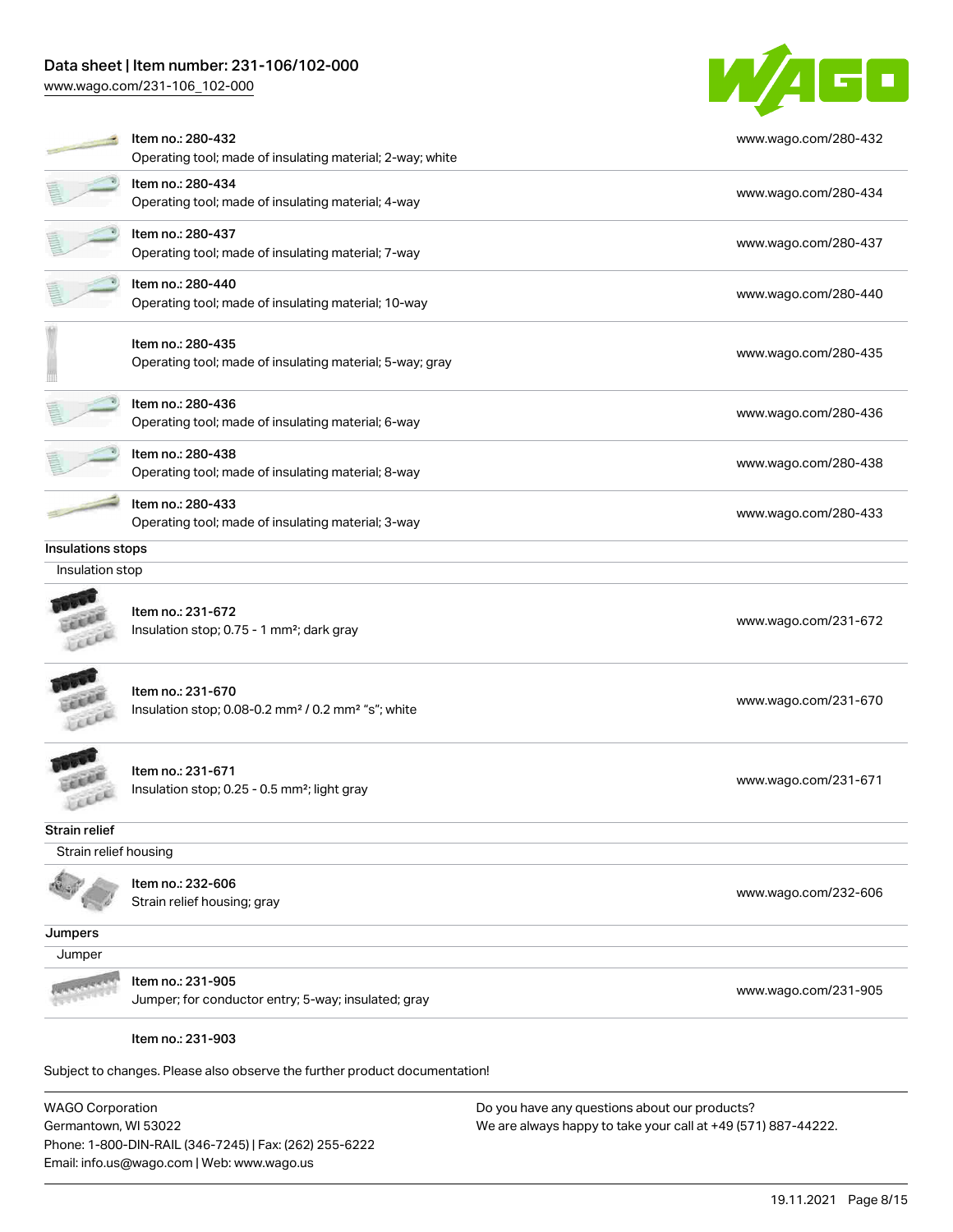[www.wago.com/231-106\\_102-000](http://www.wago.com/231-106_102-000)



|                       | Item no.: 280-432<br>Operating tool; made of insulating material; 2-way; white                  | www.wago.com/280-432 |
|-----------------------|-------------------------------------------------------------------------------------------------|----------------------|
|                       | Item no.: 280-434<br>Operating tool; made of insulating material; 4-way                         | www.wago.com/280-434 |
|                       | Item no.: 280-437<br>Operating tool; made of insulating material; 7-way                         | www.wago.com/280-437 |
|                       | Item no.: 280-440<br>Operating tool; made of insulating material; 10-way                        | www.wago.com/280-440 |
|                       | Item no.: 280-435<br>Operating tool; made of insulating material; 5-way; gray                   | www.wago.com/280-435 |
|                       | Item no.: 280-436<br>Operating tool; made of insulating material; 6-way                         | www.wago.com/280-436 |
|                       | Item no.: 280-438<br>Operating tool; made of insulating material; 8-way                         | www.wago.com/280-438 |
|                       | Item no.: 280-433<br>Operating tool; made of insulating material; 3-way                         | www.wago.com/280-433 |
| Insulations stops     |                                                                                                 |                      |
| Insulation stop       |                                                                                                 |                      |
|                       | Item no.: 231-672<br>Insulation stop; 0.75 - 1 mm <sup>2</sup> ; dark gray                      | www.wago.com/231-672 |
| Lexer                 | Item no.: 231-670<br>Insulation stop; 0.08-0.2 mm <sup>2</sup> / 0.2 mm <sup>2</sup> "s"; white | www.wago.com/231-670 |
|                       | Item no.: 231-671<br>Insulation stop; 0.25 - 0.5 mm <sup>2</sup> ; light gray                   | www.wago.com/231-671 |
| Strain relief         |                                                                                                 |                      |
| Strain relief housing |                                                                                                 |                      |
|                       | Item no.: 232-606<br>Strain relief housing; gray                                                | www.wago.com/232-606 |
| Jumpers               |                                                                                                 |                      |
| Jumper                |                                                                                                 |                      |
|                       | Item no.: 231-905<br>Jumper; for conductor entry; 5-way; insulated; gray                        | www.wago.com/231-905 |
|                       | Item no.: 231-903                                                                               |                      |
|                       | Subject to changes. Please also observe the further product documentation!                      |                      |
| $MADCD$ Corporation   | Do vou bave any questions about our products?                                                   |                      |

WAGO Corporation Germantown, WI 53022 Phone: 1-800-DIN-RAIL (346-7245) | Fax: (262) 255-6222 Email: info.us@wago.com | Web: www.wago.us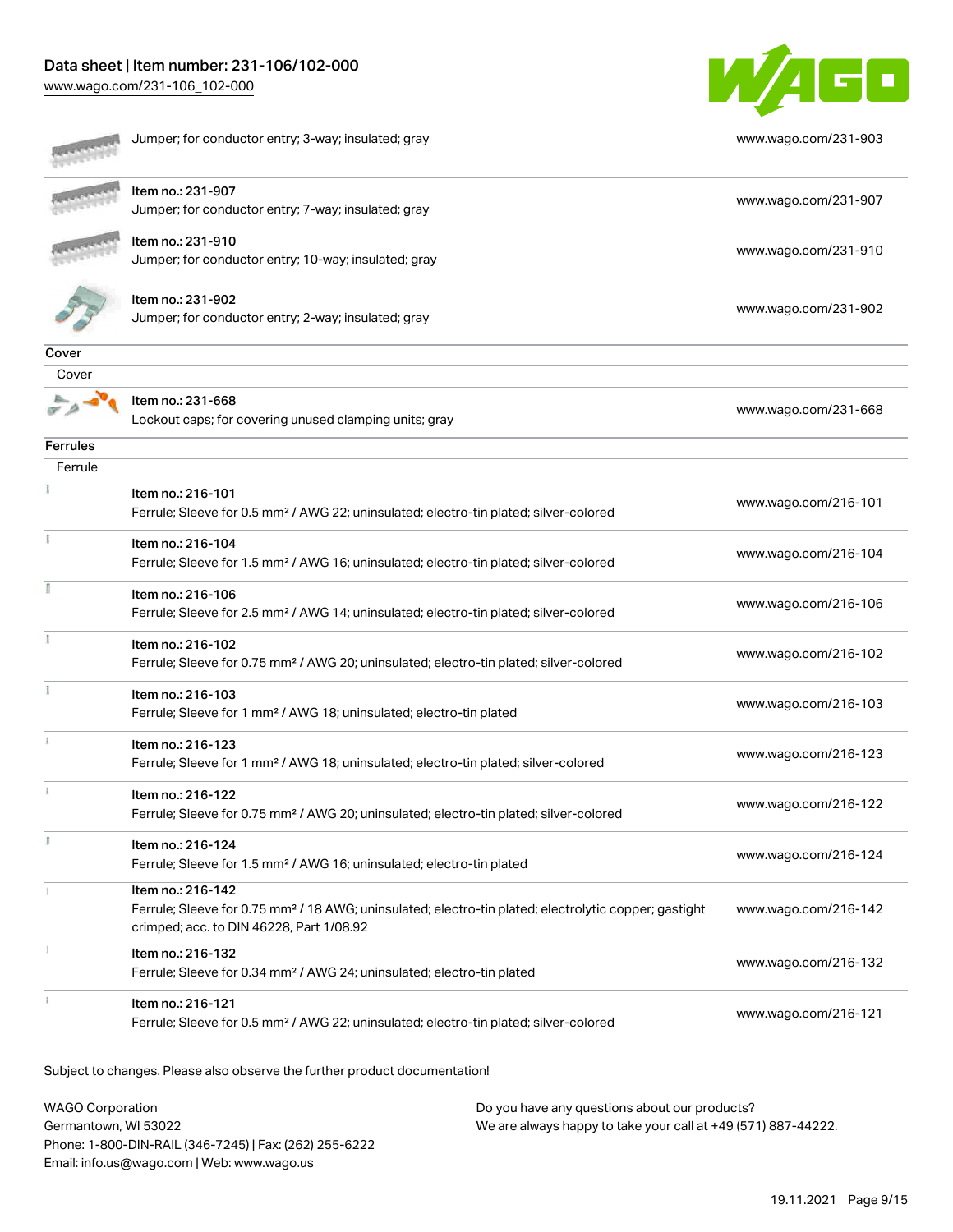[www.wago.com/231-106\\_102-000](http://www.wago.com/231-106_102-000)



|                 | Jumper; for conductor entry; 3-way; insulated; gray                                                                                                                                | www.wago.com/231-903 |
|-----------------|------------------------------------------------------------------------------------------------------------------------------------------------------------------------------------|----------------------|
|                 | Item no.: 231-907<br>Jumper; for conductor entry; 7-way; insulated; gray                                                                                                           | www.wago.com/231-907 |
|                 | Item no.: 231-910<br>Jumper; for conductor entry; 10-way; insulated; gray                                                                                                          | www.wago.com/231-910 |
|                 | Item no.: 231-902<br>Jumper; for conductor entry; 2-way; insulated; gray                                                                                                           | www.wago.com/231-902 |
| Cover           |                                                                                                                                                                                    |                      |
| Cover           |                                                                                                                                                                                    |                      |
|                 | Item no.: 231-668<br>Lockout caps; for covering unused clamping units; gray                                                                                                        | www.wago.com/231-668 |
| <b>Ferrules</b> |                                                                                                                                                                                    |                      |
| Ferrule         |                                                                                                                                                                                    |                      |
|                 | Item no.: 216-101<br>Ferrule; Sleeve for 0.5 mm <sup>2</sup> / AWG 22; uninsulated; electro-tin plated; silver-colored                                                             | www.wago.com/216-101 |
|                 | Item no.: 216-104<br>Ferrule; Sleeve for 1.5 mm <sup>2</sup> / AWG 16; uninsulated; electro-tin plated; silver-colored                                                             | www.wago.com/216-104 |
|                 | Item no.: 216-106<br>Ferrule; Sleeve for 2.5 mm <sup>2</sup> / AWG 14; uninsulated; electro-tin plated; silver-colored                                                             | www.wago.com/216-106 |
|                 | Item no.: 216-102<br>Ferrule; Sleeve for 0.75 mm <sup>2</sup> / AWG 20; uninsulated; electro-tin plated; silver-colored                                                            | www.wago.com/216-102 |
|                 | Item no.: 216-103<br>Ferrule; Sleeve for 1 mm <sup>2</sup> / AWG 18; uninsulated; electro-tin plated                                                                               | www.wago.com/216-103 |
|                 | Item no.: 216-123<br>Ferrule; Sleeve for 1 mm <sup>2</sup> / AWG 18; uninsulated; electro-tin plated; silver-colored                                                               | www.wago.com/216-123 |
|                 | Item no.: 216-122<br>Ferrule; Sleeve for 0.75 mm <sup>2</sup> / AWG 20; uninsulated; electro-tin plated; silver-colored                                                            | www.wago.com/216-122 |
| J.              | Item no.: 216-124<br>Ferrule; Sleeve for 1.5 mm <sup>2</sup> / AWG 16; uninsulated; electro-tin plated                                                                             | www.wago.com/216-124 |
|                 | Item no.: 216-142<br>Ferrule; Sleeve for 0.75 mm <sup>2</sup> / 18 AWG; uninsulated; electro-tin plated; electrolytic copper; gastight<br>crimped; acc. to DIN 46228, Part 1/08.92 | www.wago.com/216-142 |
|                 | Item no.: 216-132<br>Ferrule; Sleeve for 0.34 mm <sup>2</sup> / AWG 24; uninsulated; electro-tin plated                                                                            | www.wago.com/216-132 |
|                 | Item no.: 216-121<br>Ferrule; Sleeve for 0.5 mm <sup>2</sup> / AWG 22; uninsulated; electro-tin plated; silver-colored                                                             | www.wago.com/216-121 |

Subject to changes. Please also observe the further product documentation!

WAGO Corporation Germantown, WI 53022 Phone: 1-800-DIN-RAIL (346-7245) | Fax: (262) 255-6222 Email: info.us@wago.com | Web: www.wago.us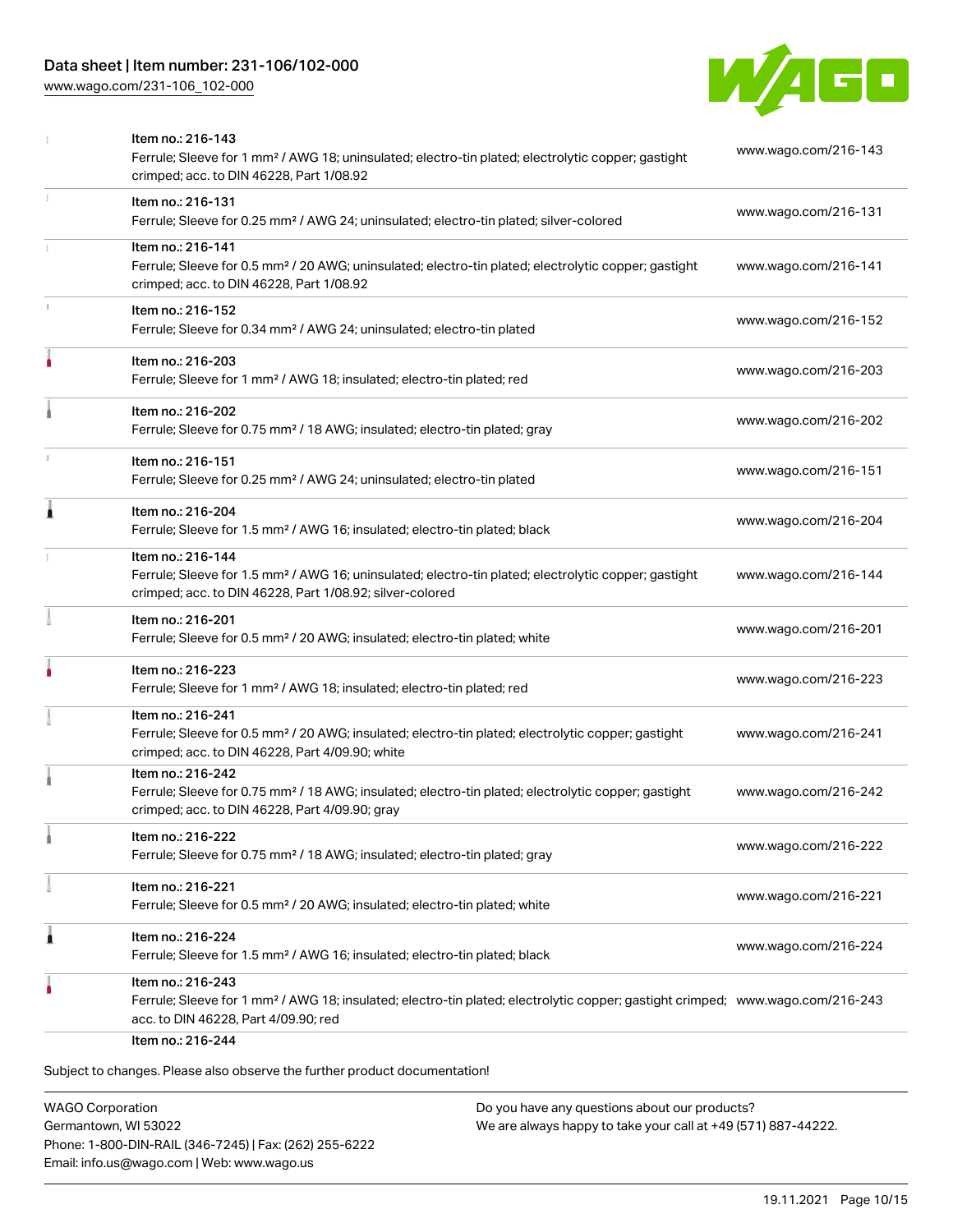[www.wago.com/231-106\\_102-000](http://www.wago.com/231-106_102-000)



|   | Item no.: 216-143<br>Ferrule; Sleeve for 1 mm <sup>2</sup> / AWG 18; uninsulated; electro-tin plated; electrolytic copper; gastight<br>crimped; acc. to DIN 46228, Part 1/08.92                         | www.wago.com/216-143 |
|---|---------------------------------------------------------------------------------------------------------------------------------------------------------------------------------------------------------|----------------------|
|   | Item no.: 216-131<br>Ferrule; Sleeve for 0.25 mm <sup>2</sup> / AWG 24; uninsulated; electro-tin plated; silver-colored                                                                                 | www.wago.com/216-131 |
|   | Item no.: 216-141<br>Ferrule; Sleeve for 0.5 mm <sup>2</sup> / 20 AWG; uninsulated; electro-tin plated; electrolytic copper; gastight<br>crimped; acc. to DIN 46228, Part 1/08.92                       | www.wago.com/216-141 |
|   | Item no.: 216-152<br>Ferrule; Sleeve for 0.34 mm <sup>2</sup> / AWG 24; uninsulated; electro-tin plated                                                                                                 | www.wago.com/216-152 |
| ۵ | Item no.: 216-203<br>Ferrule; Sleeve for 1 mm <sup>2</sup> / AWG 18; insulated; electro-tin plated; red                                                                                                 | www.wago.com/216-203 |
|   | Item no.: 216-202<br>Ferrule; Sleeve for 0.75 mm <sup>2</sup> / 18 AWG; insulated; electro-tin plated; gray                                                                                             | www.wago.com/216-202 |
|   | Item no.: 216-151<br>Ferrule; Sleeve for 0.25 mm <sup>2</sup> / AWG 24; uninsulated; electro-tin plated                                                                                                 | www.wago.com/216-151 |
| Ă | Item no.: 216-204<br>Ferrule; Sleeve for 1.5 mm <sup>2</sup> / AWG 16; insulated; electro-tin plated; black                                                                                             | www.wago.com/216-204 |
|   | Item no.: 216-144<br>Ferrule; Sleeve for 1.5 mm <sup>2</sup> / AWG 16; uninsulated; electro-tin plated; electrolytic copper; gastight<br>crimped; acc. to DIN 46228, Part 1/08.92; silver-colored       | www.wago.com/216-144 |
|   | Item no.: 216-201<br>Ferrule; Sleeve for 0.5 mm <sup>2</sup> / 20 AWG; insulated; electro-tin plated; white                                                                                             | www.wago.com/216-201 |
|   | Item no.: 216-223<br>Ferrule; Sleeve for 1 mm <sup>2</sup> / AWG 18; insulated; electro-tin plated; red                                                                                                 | www.wago.com/216-223 |
|   | Item no.: 216-241<br>Ferrule; Sleeve for 0.5 mm <sup>2</sup> / 20 AWG; insulated; electro-tin plated; electrolytic copper; gastight<br>crimped; acc. to DIN 46228, Part 4/09.90; white                  | www.wago.com/216-241 |
|   | Item no.: 216-242<br>Ferrule; Sleeve for 0.75 mm <sup>2</sup> / 18 AWG; insulated; electro-tin plated; electrolytic copper; gastight<br>crimped; acc. to DIN 46228, Part 4/09.90; gray                  | www.wago.com/216-242 |
|   | ltem no.: 216-222<br>Ferrule; Sleeve for 0.75 mm <sup>2</sup> / 18 AWG; insulated; electro-tin plated; gray                                                                                             | www.wago.com/216-222 |
|   | Item no.: 216-221<br>Ferrule; Sleeve for 0.5 mm <sup>2</sup> / 20 AWG; insulated; electro-tin plated; white                                                                                             | www.wago.com/216-221 |
| 1 | Item no.: 216-224<br>Ferrule; Sleeve for 1.5 mm <sup>2</sup> / AWG 16; insulated; electro-tin plated; black                                                                                             | www.wago.com/216-224 |
|   | Item no.: 216-243<br>Ferrule; Sleeve for 1 mm <sup>2</sup> / AWG 18; insulated; electro-tin plated; electrolytic copper; gastight crimped; www.wago.com/216-243<br>acc. to DIN 46228, Part 4/09.90; red |                      |

WAGO Corporation Germantown, WI 53022 Phone: 1-800-DIN-RAIL (346-7245) | Fax: (262) 255-6222 Email: info.us@wago.com | Web: www.wago.us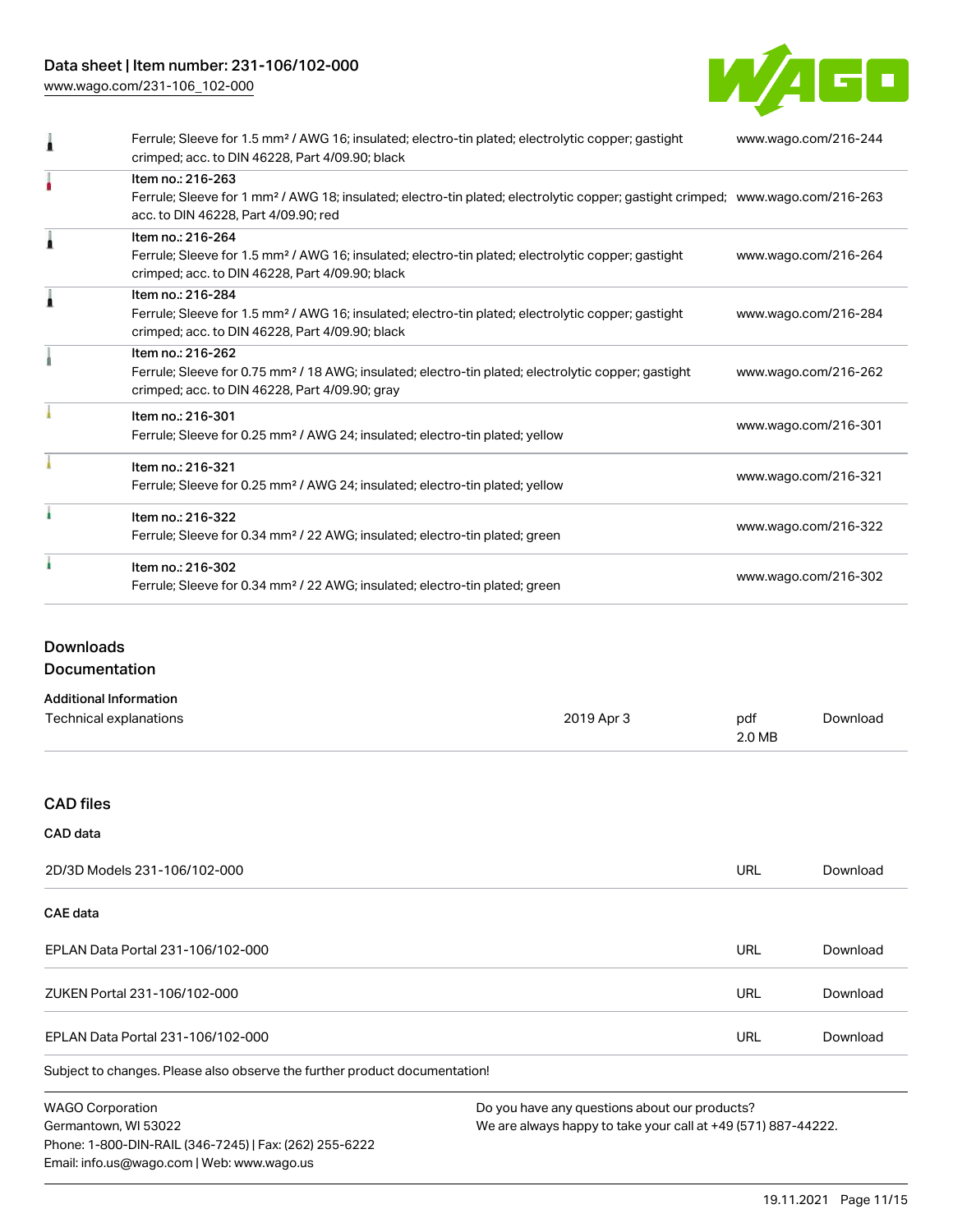[www.wago.com/231-106\\_102-000](http://www.wago.com/231-106_102-000)



| Ferrule; Sleeve for 1.5 mm <sup>2</sup> / AWG 16; insulated; electro-tin plated; electrolytic copper; gastight<br>crimped; acc. to DIN 46228, Part 4/09.90; black                                       | www.wago.com/216-244 |
|---------------------------------------------------------------------------------------------------------------------------------------------------------------------------------------------------------|----------------------|
| Item no.: 216-263<br>Ferrule; Sleeve for 1 mm <sup>2</sup> / AWG 18; insulated; electro-tin plated; electrolytic copper; gastight crimped; www.wago.com/216-263<br>acc. to DIN 46228, Part 4/09.90; red |                      |
| Item no.: 216-264<br>Ferrule; Sleeve for 1.5 mm <sup>2</sup> / AWG 16; insulated; electro-tin plated; electrolytic copper; gastight<br>crimped; acc. to DIN 46228, Part 4/09.90; black                  | www.wago.com/216-264 |
| Item no.: 216-284<br>Ferrule; Sleeve for 1.5 mm <sup>2</sup> / AWG 16; insulated; electro-tin plated; electrolytic copper; gastight<br>crimped; acc. to DIN 46228, Part 4/09.90; black                  | www.wago.com/216-284 |
| Item no.: 216-262<br>Ferrule; Sleeve for 0.75 mm <sup>2</sup> / 18 AWG; insulated; electro-tin plated; electrolytic copper; gastight<br>crimped; acc. to DIN 46228, Part 4/09.90; gray                  | www.wago.com/216-262 |
| Item no.: 216-301<br>Ferrule; Sleeve for 0.25 mm <sup>2</sup> / AWG 24; insulated; electro-tin plated; yellow                                                                                           | www.wago.com/216-301 |
| Item no.: 216-321<br>Ferrule; Sleeve for 0.25 mm <sup>2</sup> / AWG 24; insulated; electro-tin plated; yellow                                                                                           | www.wago.com/216-321 |
| Item no.: 216-322<br>Ferrule; Sleeve for 0.34 mm <sup>2</sup> / 22 AWG; insulated; electro-tin plated; green                                                                                            | www.wago.com/216-322 |
| Item no.: 216-302<br>Ferrule; Sleeve for 0.34 mm <sup>2</sup> / 22 AWG; insulated; electro-tin plated; green                                                                                            | www.wago.com/216-302 |

# Downloads

Documentation

Phone: 1-800-DIN-RAIL (346-7245) | Fax: (262) 255-6222

Email: info.us@wago.com | Web: www.wago.us

| <b>Additional Information</b>                                              |                                               |                                                               |          |  |
|----------------------------------------------------------------------------|-----------------------------------------------|---------------------------------------------------------------|----------|--|
| Technical explanations                                                     | 2019 Apr 3                                    | pdf<br>2.0 MB                                                 | Download |  |
|                                                                            |                                               |                                                               |          |  |
| <b>CAD files</b>                                                           |                                               |                                                               |          |  |
| <b>CAD</b> data                                                            |                                               |                                                               |          |  |
| 2D/3D Models 231-106/102-000                                               |                                               | <b>URL</b>                                                    | Download |  |
| CAE data                                                                   |                                               |                                                               |          |  |
| EPLAN Data Portal 231-106/102-000                                          |                                               | <b>URL</b>                                                    | Download |  |
| ZUKEN Portal 231-106/102-000                                               |                                               | <b>URL</b>                                                    | Download |  |
| EPLAN Data Portal 231-106/102-000                                          |                                               | <b>URL</b>                                                    | Download |  |
| Subject to changes. Please also observe the further product documentation! |                                               |                                                               |          |  |
| <b>WAGO Corporation</b>                                                    | Do you have any questions about our products? |                                                               |          |  |
| Germantown, WI 53022                                                       |                                               | We are always happy to take your call at +49 (571) 887-44222. |          |  |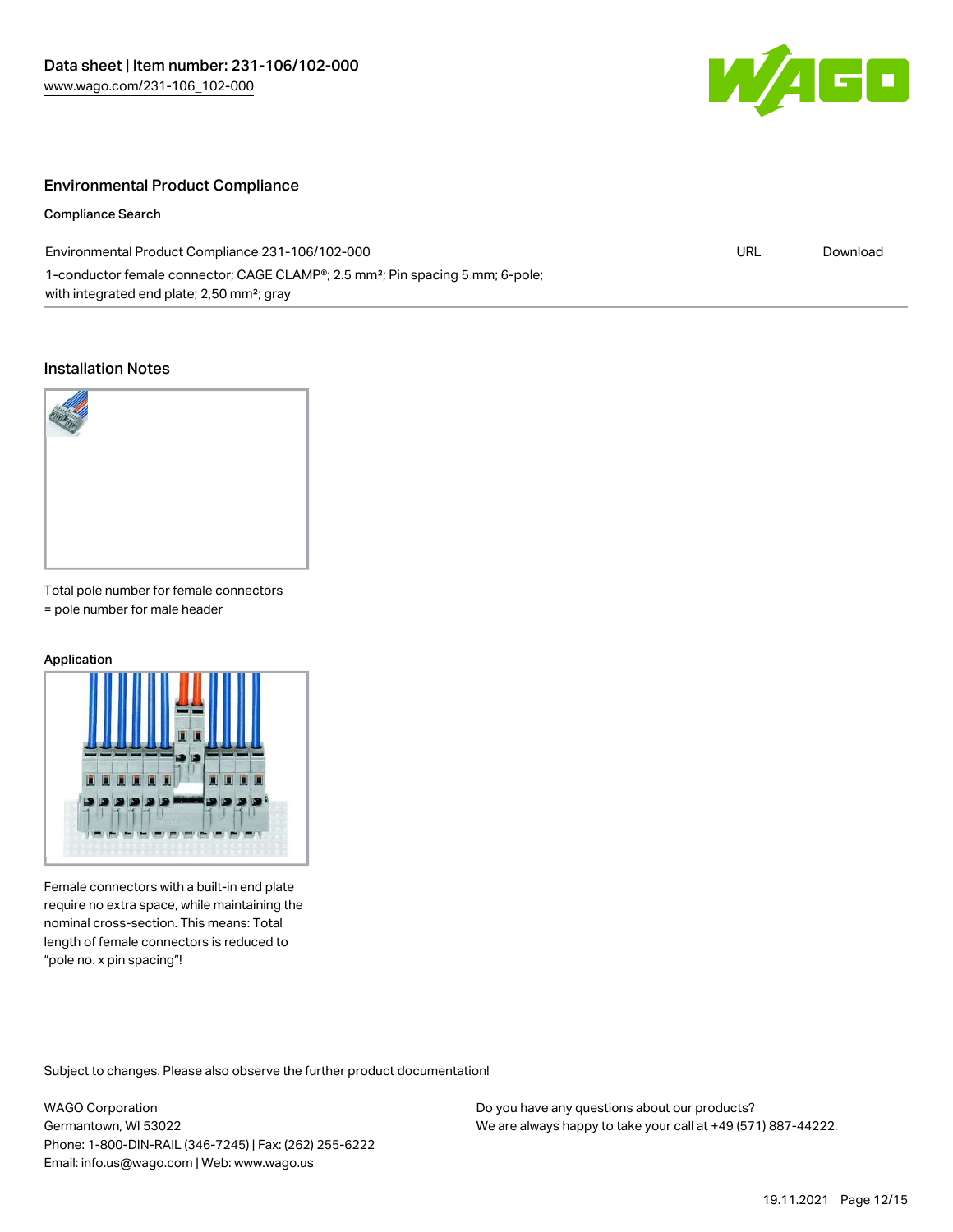

### Environmental Product Compliance

Compliance Search

| Environmental Product Compliance 231-106/102-000                                                        | URL | Download |
|---------------------------------------------------------------------------------------------------------|-----|----------|
| 1-conductor female connector; CAGE CLAMP <sup>®</sup> ; 2.5 mm <sup>2</sup> ; Pin spacing 5 mm; 6-pole; |     |          |
| with integrated end plate; 2,50 mm <sup>2</sup> ; gray                                                  |     |          |

#### Installation Notes



Total pole number for female connectors = pole number for male header

#### Application



Female connectors with a built-in end plate require no extra space, while maintaining the nominal cross-section. This means: Total length of female connectors is reduced to "pole no. x pin spacing"!

Subject to changes. Please also observe the further product documentation!

WAGO Corporation Germantown, WI 53022 Phone: 1-800-DIN-RAIL (346-7245) | Fax: (262) 255-6222 Email: info.us@wago.com | Web: www.wago.us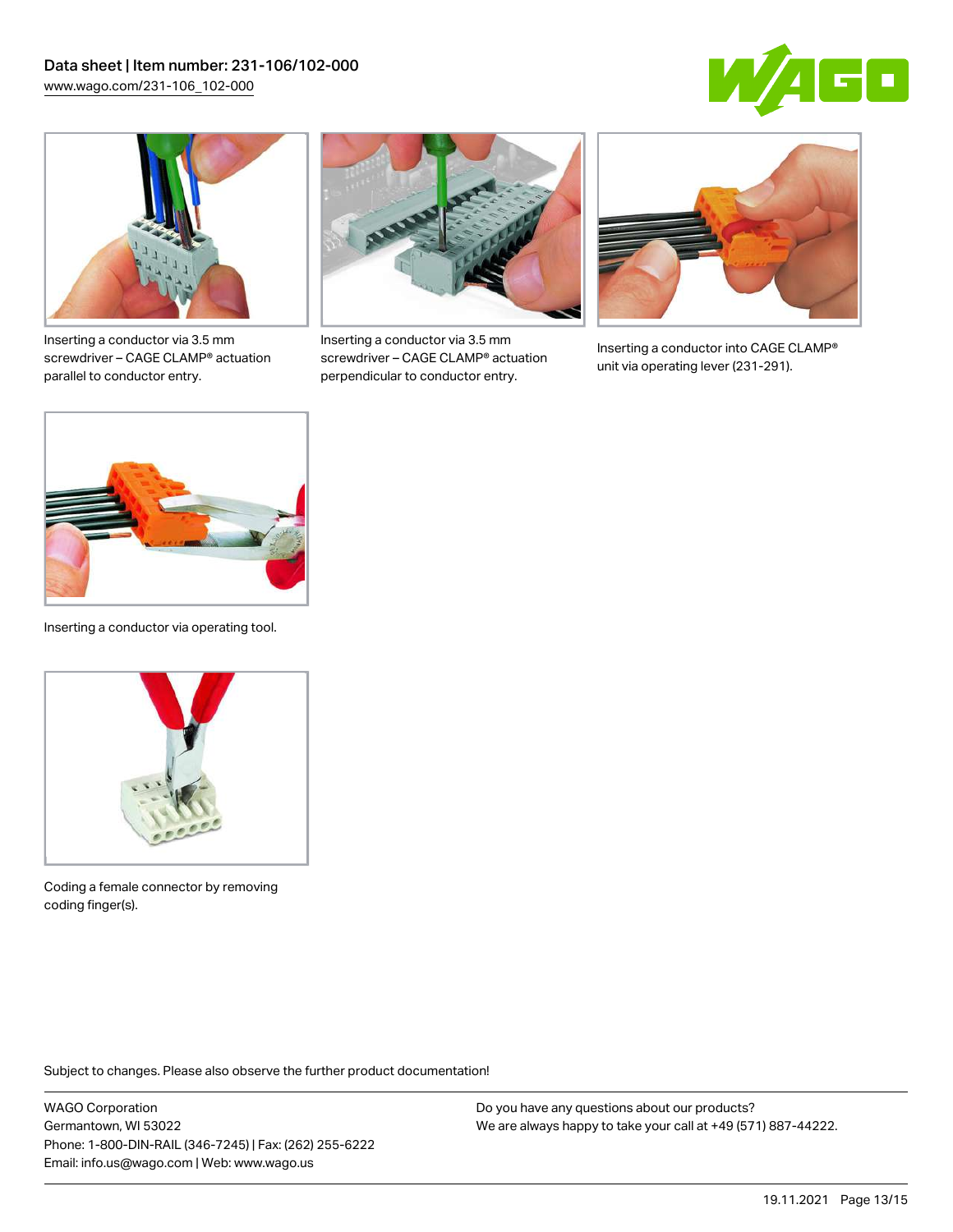



Inserting a conductor via 3.5 mm screwdriver – CAGE CLAMP® actuation parallel to conductor entry.



Inserting a conductor via 3.5 mm screwdriver – CAGE CLAMP® actuation perpendicular to conductor entry.



Inserting a conductor into CAGE CLAMP® unit via operating lever (231-291).



Inserting a conductor via operating tool.



Coding a female connector by removing coding finger(s).

Subject to changes. Please also observe the further product documentation!

WAGO Corporation Germantown, WI 53022 Phone: 1-800-DIN-RAIL (346-7245) | Fax: (262) 255-6222 Email: info.us@wago.com | Web: www.wago.us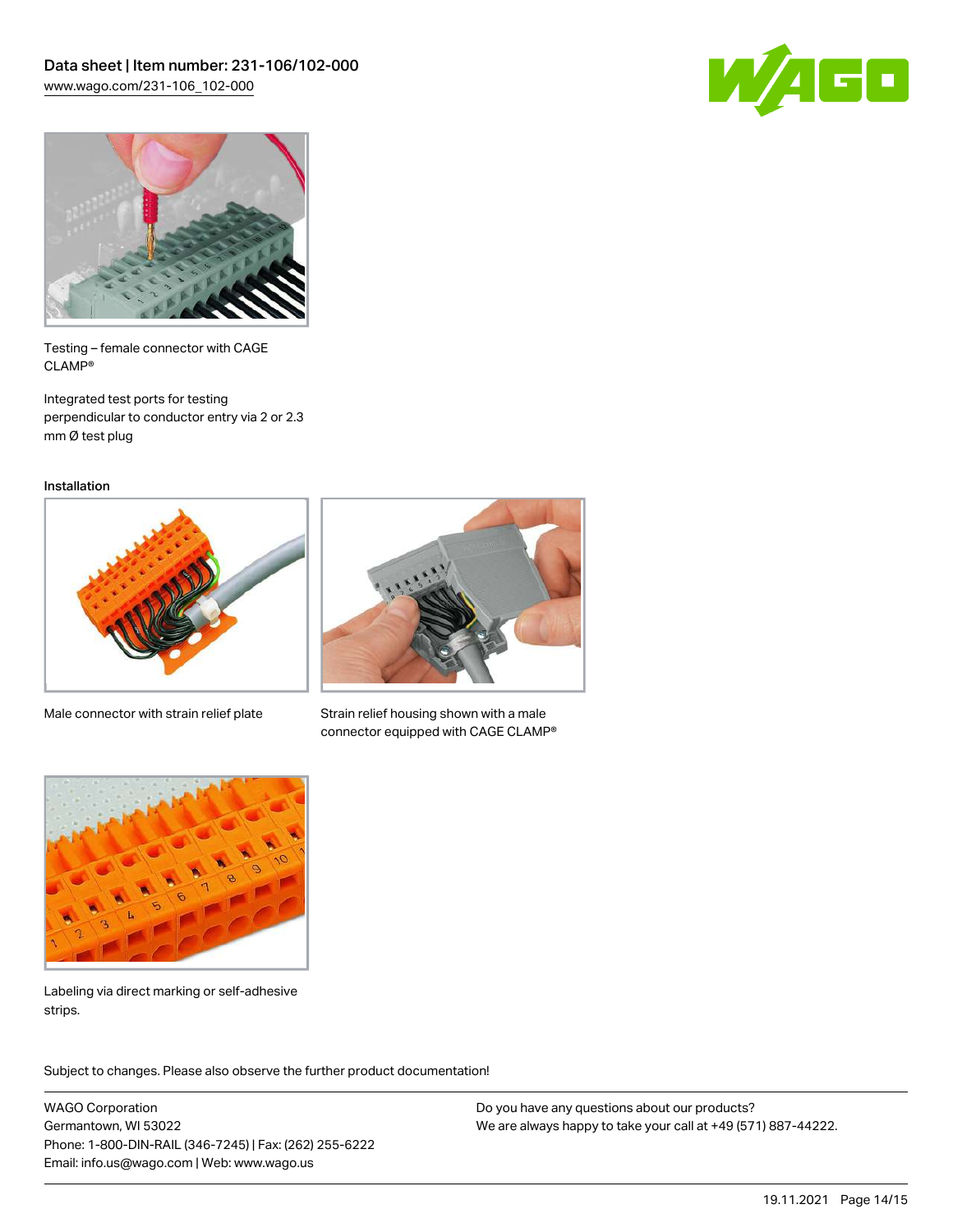



Testing – female connector with CAGE CLAMP®

Integrated test ports for testing perpendicular to conductor entry via 2 or 2.3 mm Ø test plug

Installation



Male connector with strain relief plate



Strain relief housing shown with a male connector equipped with CAGE CLAMP®



Labeling via direct marking or self-adhesive strips.

Subject to changes. Please also observe the further product documentation! Product family

WAGO Corporation Germantown, WI 53022 Phone: 1-800-DIN-RAIL (346-7245) | Fax: (262) 255-6222 Email: info.us@wago.com | Web: www.wago.us